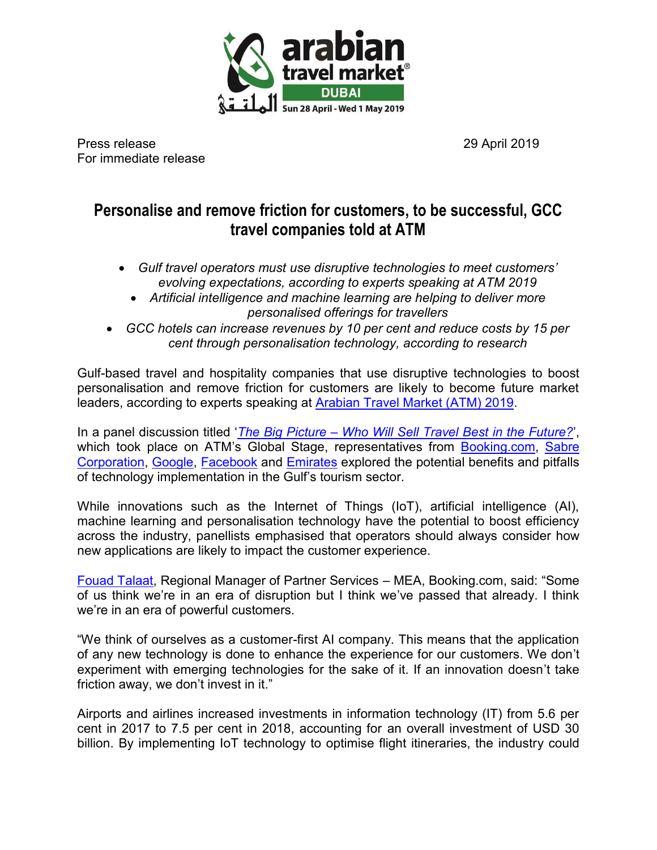

Press release 29 April 2019 For immediate release

# **Personalise and remove friction for customers, to be successful, GCC travel companies told at ATM**

- *Gulf travel operators must use disruptive technologies to meet customers' evolving expectations, according to experts speaking at ATM 2019* 
	- *Artificial intelligence and machine learning are helping to deliver more personalised offerings for travellers*
- *GCC hotels can increase revenues by 10 per cent and reduce costs by 15 per cent through personalisation technology, according to research*

Gulf-based travel and hospitality companies that use disruptive technologies to boost personalisation and remove friction for customers are likely to become future market leaders, according to experts speaking at [Arabian Travel Market \(ATM\) 2019.](https://arabiantravelmarket.wtm.com/)

In a panel discussion titled '*The Big Picture – [Who Will Sell Travel Best in the Future?](https://arabiantravelmarket.wtm.com/en/Sessions/70177/The-Big-Picture-who-will-sell-travel-best-in-the-future)*', which took place on ATM's Global Stage, representatives from [Booking.com,](https://www.booking.com/index.en-gb.html?label=gen173nr-1BCAEoggI46AdIM1gEaAKIAQGYAQm4ARfIAQzYAQHoAQGIAgGoAgO4AraKhuYFwAIB;sid=1c83d14d635ea1cb84487418938da73b;keep_landing=1&sb_price_type=total&) Sabre [Corporation,](https://www.sabre.com/) [Google,](https://www.google.com/) [Facebook](https://www.facebook.com/) and [Emirates](https://www.emirates.com/ae/english/) explored the potential benefits and pitfalls of technology implementation in the Gulf's tourism sector.

While innovations such as the Internet of Things (IoT), artificial intelligence (AI), machine learning and personalisation technology have the potential to boost efficiency across the industry, panellists emphasised that operators should always consider how new applications are likely to impact the customer experience.

[Fouad Talaat,](https://arabiantravelmarket.wtm.com/en/Contributors/7618751/Fouad-Talaat) Regional Manager of Partner Services – MEA, Booking.com, said: "Some of us think we're in an era of disruption but I think we've passed that already. I think we're in an era of powerful customers.

"We think of ourselves as a customer-first AI company. This means that the application of any new technology is done to enhance the experience for our customers. We don't experiment with emerging technologies for the sake of it. If an innovation doesn't take friction away, we don't invest in it."

Airports and airlines increased investments in information technology (IT) from 5.6 per cent in 2017 to 7.5 per cent in 2018, accounting for an overall investment of USD 30 billion. By implementing IoT technology to optimise flight itineraries, the industry could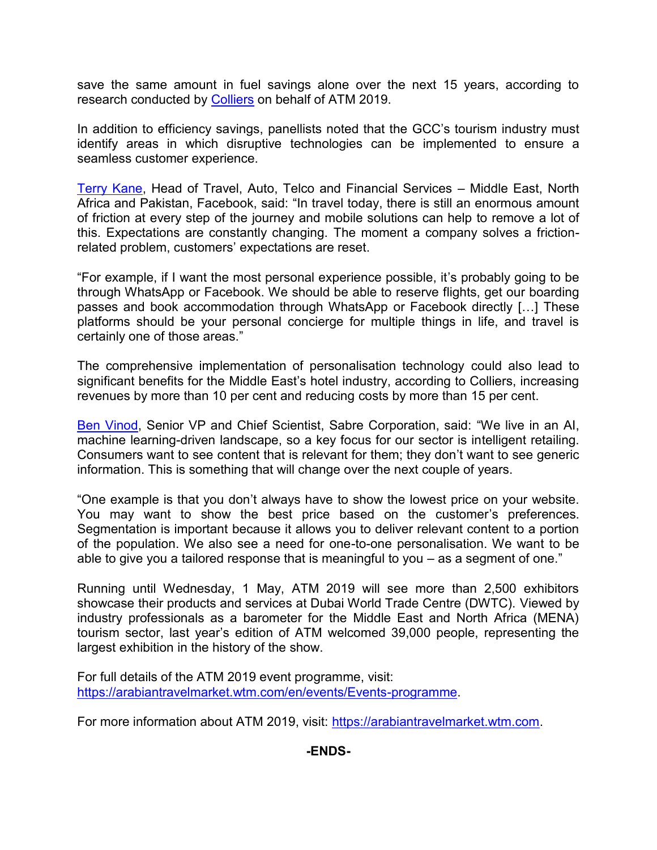save the same amount in fuel savings alone over the next 15 years, according to research conducted by [Colliers](https://arabiantravelmarket.wtm.com/en/media-centre/Official-Research-Partner/) on behalf of ATM 2019.

In addition to efficiency savings, panellists noted that the GCC's tourism industry must identify areas in which disruptive technologies can be implemented to ensure a seamless customer experience.

[Terry Kane,](https://arabiantravelmarket.wtm.com/en/Contributors/7745790/Terry-Kane) Head of Travel, Auto, Telco and Financial Services – Middle East, North Africa and Pakistan, Facebook, said: "In travel today, there is still an enormous amount of friction at every step of the journey and mobile solutions can help to remove a lot of this. Expectations are constantly changing. The moment a company solves a frictionrelated problem, customers' expectations are reset.

"For example, if I want the most personal experience possible, it's probably going to be through WhatsApp or Facebook. We should be able to reserve flights, get our boarding passes and book accommodation through WhatsApp or Facebook directly […] These platforms should be your personal concierge for multiple things in life, and travel is certainly one of those areas."

The comprehensive implementation of personalisation technology could also lead to significant benefits for the Middle East's hotel industry, according to Colliers, increasing revenues by more than 10 per cent and reducing costs by more than 15 per cent.

[Ben Vinod,](https://arabiantravelmarket.wtm.com/en/Contributors/7653845/Ben-Vinod) Senior VP and Chief Scientist, Sabre Corporation, said: "We live in an AI, machine learning-driven landscape, so a key focus for our sector is intelligent retailing. Consumers want to see content that is relevant for them; they don't want to see generic information. This is something that will change over the next couple of years.

"One example is that you don't always have to show the lowest price on your website. You may want to show the best price based on the customer's preferences. Segmentation is important because it allows you to deliver relevant content to a portion of the population. We also see a need for one-to-one personalisation. We want to be able to give you a tailored response that is meaningful to you – as a segment of one."

Running until Wednesday, 1 May, ATM 2019 will see more than 2,500 exhibitors showcase their products and services at Dubai World Trade Centre (DWTC). Viewed by industry professionals as a barometer for the Middle East and North Africa (MENA) tourism sector, last year's edition of ATM welcomed 39,000 people, representing the largest exhibition in the history of the show.

For full details of the ATM 2019 event programme, visit: [https://arabiantravelmarket.wtm.com/en/events/Events-programme.](https://arabiantravelmarket.wtm.com/en/events/Events-programme)

For more information about ATM 2019, visit: [https://arabiantravelmarket.wtm.com.](https://arabiantravelmarket.wtm.com/)

**-ENDS-**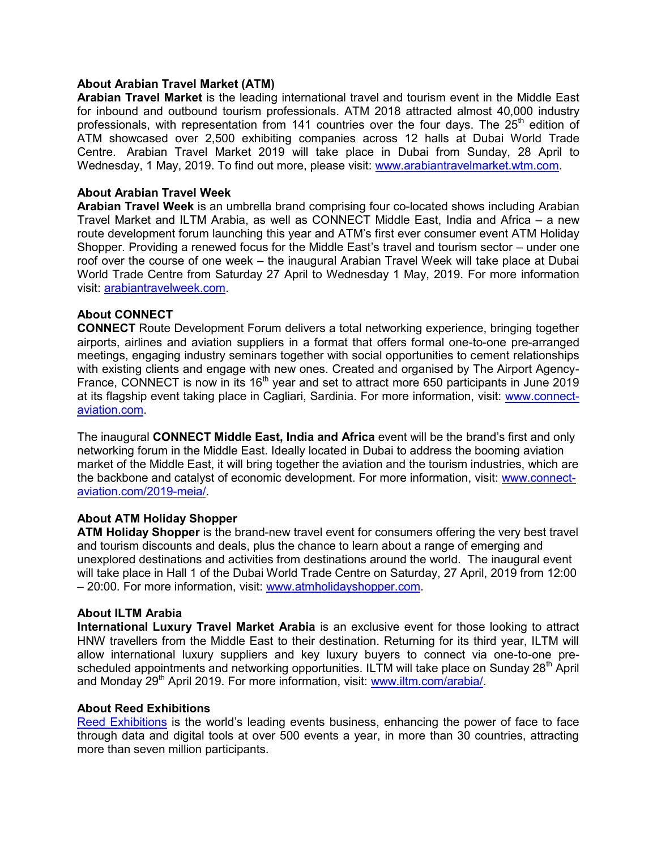## **About Arabian Travel Market (ATM)**

**Arabian Travel Market** is the leading international travel and tourism event in the Middle East for inbound and outbound tourism professionals. ATM 2018 attracted almost 40,000 industry professionals, with representation from 141 countries over the four days. The  $25<sup>th</sup>$  edition of ATM showcased over 2,500 exhibiting companies across 12 halls at Dubai World Trade Centre. Arabian Travel Market 2019 will take place in Dubai from Sunday, 28 April to Wednesday, 1 May, 2019. To find out more, please visit: [www.arabiantravelmarket.wtm.com.](http://www.arabiantravelmarket.wtm.com/)

# **About Arabian Travel Week**

**Arabian Travel Week** is an umbrella brand comprising four co-located shows including Arabian Travel Market and ILTM Arabia, as well as CONNECT Middle East, India and Africa – a new route development forum launching this year and ATM's first ever consumer event ATM Holiday Shopper. Providing a renewed focus for the Middle East's travel and tourism sector – under one roof over the course of one week – the inaugural Arabian Travel Week will take place at Dubai World Trade Centre from Saturday 27 April to Wednesday 1 May, 2019. For more information visit: [arabiantravelweek.com.](http://arabiantravelweek.com/)

# **About CONNECT**

**CONNECT** Route Development Forum delivers a total networking experience, bringing together airports, airlines and aviation suppliers in a format that offers formal one-to-one pre-arranged meetings, engaging industry seminars together with social opportunities to cement relationships with existing clients and engage with new ones. Created and organised by The Airport Agency-France, CONNECT is now in its 16<sup>th</sup> year and set to attract more 650 participants in June 2019 at its flagship event taking place in Cagliari, Sardinia. For more information, visit: [www.connect](http://www.connect-aviation.com/)[aviation.com.](http://www.connect-aviation.com/)

The inaugural **CONNECT Middle East, India and Africa** event will be the brand's first and only networking forum in the Middle East. Ideally located in Dubai to address the booming aviation market of the Middle East, it will bring together the aviation and the tourism industries, which are the backbone and catalyst of economic development. For more information, visit: [www.connect](http://www.connect-aviation.com/2019-meia/)[aviation.com/2019-meia/.](http://www.connect-aviation.com/2019-meia/)

# **About ATM Holiday Shopper**

**ATM Holiday Shopper** is the brand-new travel event for consumers offering the very best travel and tourism discounts and deals, plus the chance to learn about a range of emerging and unexplored destinations and activities from destinations around the world. The inaugural event will take place in Hall 1 of the Dubai World Trade Centre on Saturday, 27 April, 2019 from 12:00 – 20:00. For more information, visit: [www.atmholidayshopper.com.](http://www.atmholidayshopper.com/)

#### **About ILTM Arabia**

**International Luxury Travel Market Arabia** is an exclusive event for those looking to attract HNW travellers from the Middle East to their destination. Returning for its third year, ILTM will allow international luxury suppliers and key luxury buyers to connect via one-to-one prescheduled appointments and networking opportunities. ILTM will take place on Sunday 28<sup>th</sup> April and Monday 29<sup>th</sup> April 2019. For more information, visit: [www.iltm.com/arabia/.](http://www.iltm.com/arabia/)

#### **About Reed Exhibitions**

[Reed Exhibitions](http://www.reedexpo.com/Home/) is the world's leading events business, enhancing the power of face to face through data and digital tools at over 500 events a year, in more than 30 countries, attracting more than seven million participants.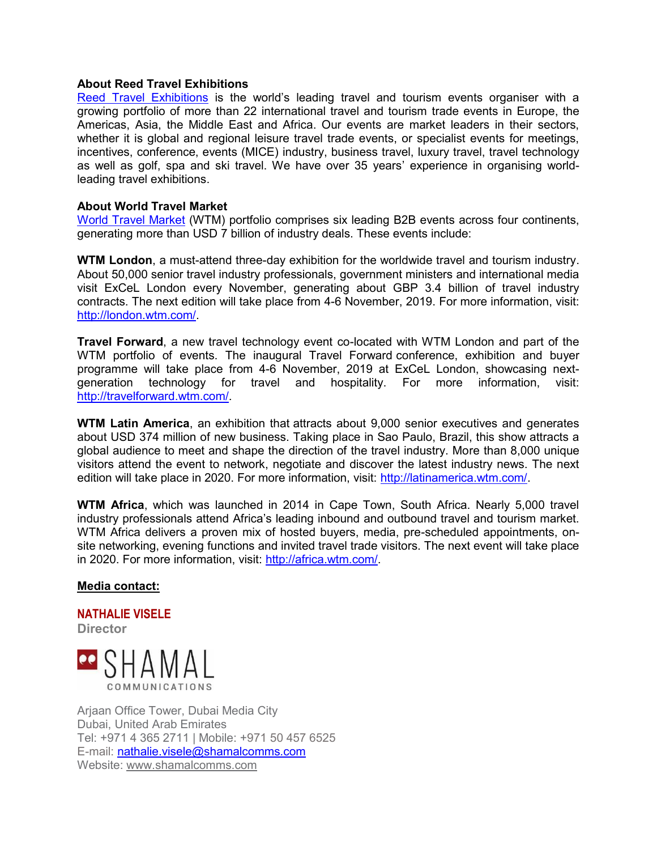## **About Reed Travel Exhibitions**

[Reed Travel Exhibitions](http://www.reedtravelexhibitions.com/) is the world's leading travel and tourism events organiser with a growing portfolio of more than 22 international travel and tourism trade events in Europe, the Americas, Asia, the Middle East and Africa. Our events are market leaders in their sectors, whether it is global and regional leisure travel trade events, or specialist events for meetings, incentives, conference, events (MICE) industry, business travel, luxury travel, travel technology as well as golf, spa and ski travel. We have over 35 years' experience in organising worldleading travel exhibitions.

## **About World Travel Market**

[World Travel Market](http://news.wtm.com/en/) (WTM) portfolio comprises six leading B2B events across four continents, generating more than USD 7 billion of industry deals. These events include:

**WTM London**, a must-attend three-day exhibition for the worldwide travel and tourism industry. About 50,000 senior travel industry professionals, government ministers and international media visit ExCeL London every November, generating about GBP 3.4 billion of travel industry contracts. The next edition will take place from 4-6 November, 2019. For more information, visit: [http://london.wtm.com/.](http://london.wtm.com/)

**Travel Forward**, a new travel technology event co-located with WTM London and part of the WTM portfolio of events. The inaugural Travel Forward conference, exhibition and buyer programme will take place from 4-6 November, 2019 at ExCeL London, showcasing nextgeneration technology for travel and hospitality. For more information, visit: [http://travelforward.wtm.com/.](http://travelforward.wtm.com/)

**WTM Latin America**, an exhibition that attracts about 9,000 senior executives and generates about USD 374 million of new business. Taking place in Sao Paulo, Brazil, this show attracts a global audience to meet and shape the direction of the travel industry. More than 8,000 unique visitors attend the event to network, negotiate and discover the latest industry news. The next edition will take place in 2020. For more information, visit: [http://latinamerica.wtm.com/.](http://latinamerica.wtm.com/)

**WTM Africa**, which was launched in 2014 in Cape Town, South Africa. Nearly 5,000 travel industry professionals attend Africa's leading inbound and outbound travel and tourism market. WTM Africa delivers a proven mix of hosted buyers, media, pre-scheduled appointments, onsite networking, evening functions and invited travel trade visitors. The next event will take place in 2020. For more information, visit: [http://africa.wtm.com/.](http://africa.wtm.com/)

# **Media contact:**

# **NATHALIE VISELE**

**Director** 



Arjaan Office Tower, Dubai Media City Dubai, United Arab Emirates Tel: +971 4 365 2711 | Mobile: +971 50 457 6525 E-mail: [nathalie.visele@shamalcomms.com](mailto:nathalie.visele@shamalcomms.com) Website: [www.shamalcomms.com](http://www.shamalcomms.com/)